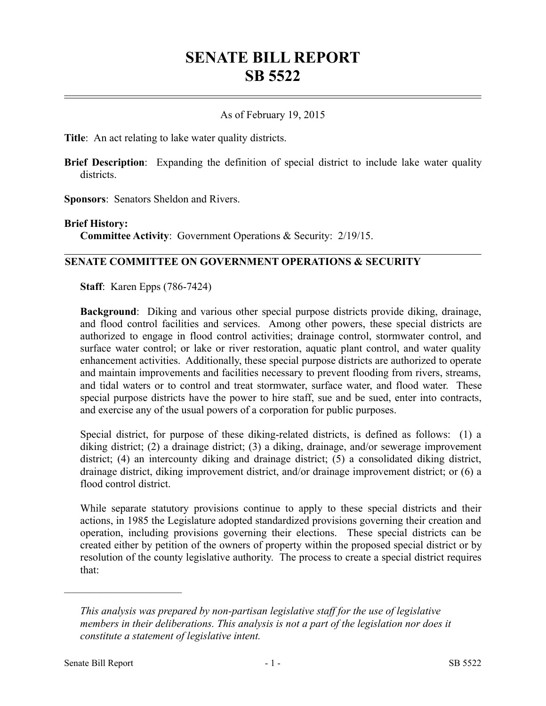# **SENATE BILL REPORT SB 5522**

### As of February 19, 2015

**Title**: An act relating to lake water quality districts.

**Brief Description**: Expanding the definition of special district to include lake water quality districts.

**Sponsors**: Senators Sheldon and Rivers.

#### **Brief History:**

**Committee Activity**: Government Operations & Security: 2/19/15.

#### **SENATE COMMITTEE ON GOVERNMENT OPERATIONS & SECURITY**

**Staff**: Karen Epps (786-7424)

**Background**: Diking and various other special purpose districts provide diking, drainage, and flood control facilities and services. Among other powers, these special districts are authorized to engage in flood control activities; drainage control, stormwater control, and surface water control; or lake or river restoration, aquatic plant control, and water quality enhancement activities. Additionally, these special purpose districts are authorized to operate and maintain improvements and facilities necessary to prevent flooding from rivers, streams, and tidal waters or to control and treat stormwater, surface water, and flood water. These special purpose districts have the power to hire staff, sue and be sued, enter into contracts, and exercise any of the usual powers of a corporation for public purposes.

Special district, for purpose of these diking-related districts, is defined as follows: (1) a diking district; (2) a drainage district; (3) a diking, drainage, and/or sewerage improvement district; (4) an intercounty diking and drainage district; (5) a consolidated diking district, drainage district, diking improvement district, and/or drainage improvement district; or (6) a flood control district.

While separate statutory provisions continue to apply to these special districts and their actions, in 1985 the Legislature adopted standardized provisions governing their creation and operation, including provisions governing their elections. These special districts can be created either by petition of the owners of property within the proposed special district or by resolution of the county legislative authority. The process to create a special district requires that:

––––––––––––––––––––––

*This analysis was prepared by non-partisan legislative staff for the use of legislative members in their deliberations. This analysis is not a part of the legislation nor does it constitute a statement of legislative intent.*